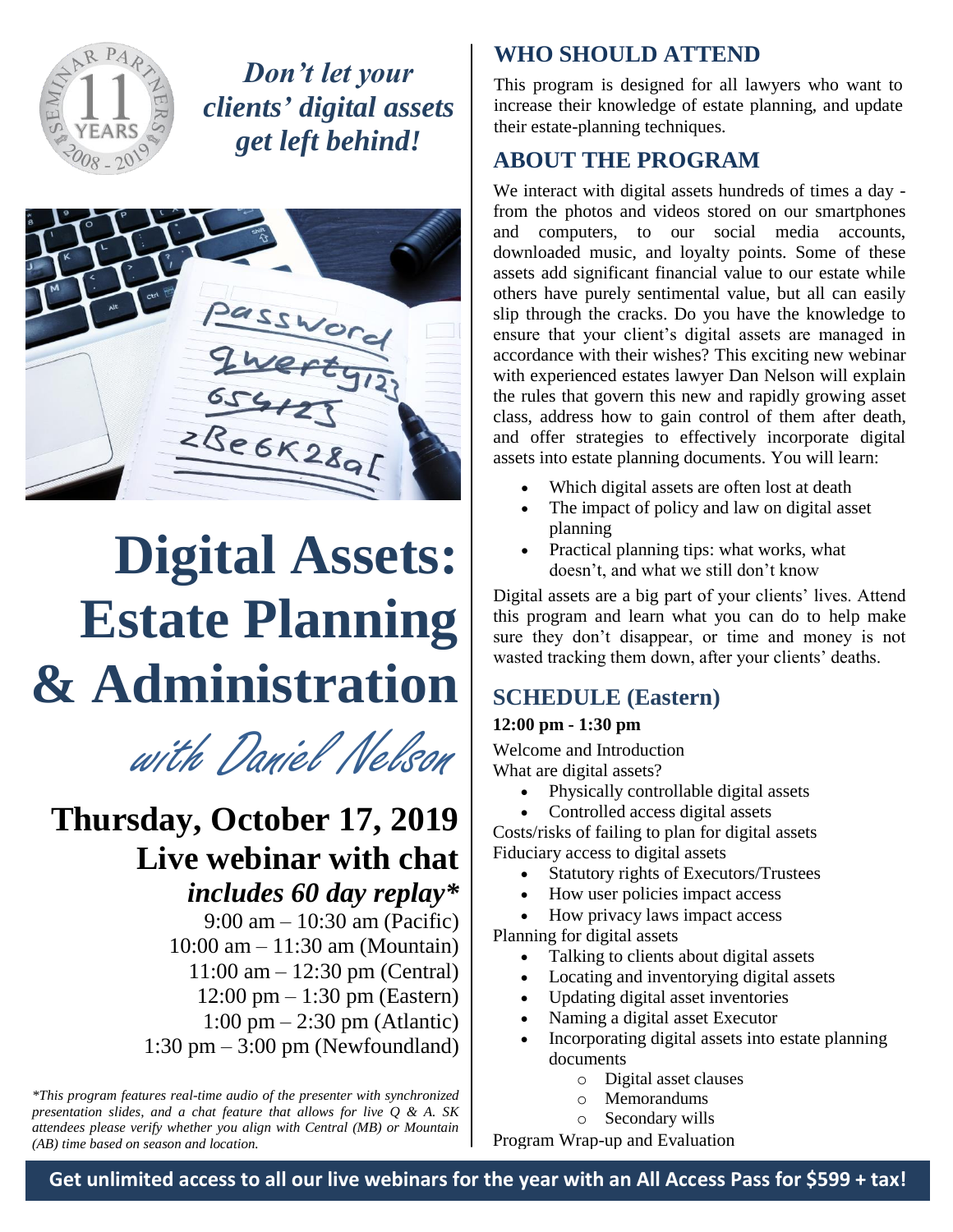

*Don't let your clients' digital assets get left behind!*



# **Digital Assets: Estate Planning & Administration**

with Daniel Nelson

## **Thursday, October 17, 2019 Live webinar with chat**

*includes 60 day replay\** 9:00 am – 10:30 am (Pacific) 10:00 am – 11:30 am (Mountain) 11:00 am – 12:30 pm (Central) 12:00 pm – 1:30 pm (Eastern) 1:00 pm – 2:30 pm (Atlantic) 1:30 pm – 3:00 pm (Newfoundland)

*\*This program features real-time audio of the presenter with synchronized presentation slides, and a chat feature that allows for live Q & A. SK attendees please verify whether you align with Central (MB) or Mountain (AB) time based on season and location.*

#### **WHO SHOULD ATTEND**

This program is designed for all lawyers who want to increase their knowledge of estate planning, and update their estate-planning techniques.

### **ABOUT THE PROGRAM**

We interact with digital assets hundreds of times a day from the photos and videos stored on our smartphones and computers, to our social media accounts, downloaded music, and loyalty points. Some of these assets add significant financial value to our estate while others have purely sentimental value, but all can easily slip through the cracks. Do you have the knowledge to ensure that your client's digital assets are managed in accordance with their wishes? This exciting new webinar with experienced estates lawyer Dan Nelson will explain the rules that govern this new and rapidly growing asset class, address how to gain control of them after death, and offer strategies to effectively incorporate digital assets into estate planning documents. You will learn:

- Which digital assets are often lost at death
- The impact of policy and law on digital asset planning
- Practical planning tips: what works, what doesn't, and what we still don't know

Digital assets are a big part of your clients' lives. Attend this program and learn what you can do to help make sure they don't disappear, or time and money is not wasted tracking them down, after your clients' deaths.

#### **SCHEDULE (Eastern)**

#### **12:00 pm - 1:30 pm**

Welcome and Introduction What are digital assets?

- Physically controllable digital assets
- Controlled access digital assets

Costs/risks of failing to plan for digital assets Fiduciary access to digital assets

- Statutory rights of Executors/Trustees
- How user policies impact access
- How privacy laws impact access

Planning for digital assets

- Talking to clients about digital assets
- Locating and inventorying digital assets
- Updating digital asset inventories
- Naming a digital asset Executor
- Incorporating digital assets into estate planning documents
	- o Digital asset clauses
	- o Memorandums
	- o Secondary wills

Program Wrap-up and Evaluation